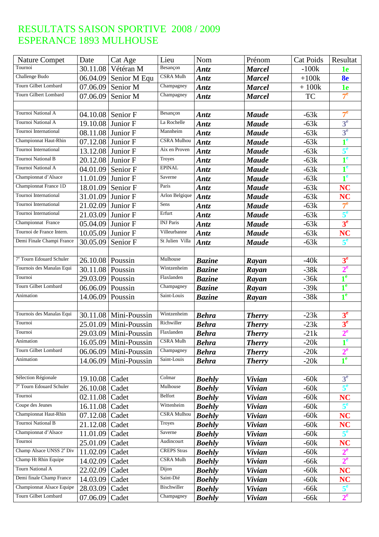| <b>Nature Compet</b>                 | Date                  | Cat Age                 | Lieu                  | Nom           | Prénom        | <b>Cat Poids</b> | Resultat       |
|--------------------------------------|-----------------------|-------------------------|-----------------------|---------------|---------------|------------------|----------------|
| Tournoi                              | 30.11.08              | Vétéran M               | Besançon              | Antz          | <b>Marcel</b> | $-100k$          | 1e             |
| Challenge Budo                       | 06.04.09              | Senior M Equ            | <b>CSRA</b> Mulh      | Antz          | <b>Marcel</b> | $+100k$          | 8 <sub>e</sub> |
| Tourn Gilbet Lombard                 | 07.06.09              | Senior M                | Champagney            | Antz          | <b>Marcel</b> | $+100k$          | 1e             |
| Tourn Gilbert Lombard                | 07.06.09              | Senior M                | Champagney            | Antz          | <b>Marcel</b> | <b>TC</b>        | 7 <sup>e</sup> |
|                                      |                       |                         |                       |               |               |                  |                |
| Tournoi National A                   |                       | 04.10.08 Senior F       | Besançon              | <b>Antz</b>   | <b>Maude</b>  | $-63k$           | 7 <sup>e</sup> |
| Tournoi National A                   | 19.10.08              | Junior F                | La Rochelle           | Antz          | <b>Maude</b>  | $-63k$           | 3 <sup>e</sup> |
| Tournoi International                | 08.11.08              | Junior F                | Mannheim              | Antz          | <b>Maude</b>  | $-63k$           | 3 <sup>e</sup> |
| Championnat Haut-Rhin                | 07.12.08              | Junior F                | <b>CSRA Mulhou</b>    | Antz          | <b>Maude</b>  | $-63k$           | 1 <sup>e</sup> |
| Tournoi International                | 13.12.08              | Junior F                | Aix en Proven         | Antz          | <b>Maude</b>  | $-63k$           | 5 <sup>e</sup> |
| Tournoi National B                   | 20.12.08              | Junior F                | Troyes                | <b>Antz</b>   | <b>Maude</b>  | $-63k$           | 1 <sup>e</sup> |
| Tournoi National A                   | 04.01.09              | Senior F                | <b>EPINAL</b>         | <b>Antz</b>   | <b>Maude</b>  | $-63k$           | 1 <sup>e</sup> |
| Championnat d'Alsace                 | 11.01.09              | Junior F                | Saverne               | Antz          | <b>Maude</b>  | $-63k$           | 1 <sup>e</sup> |
| Championnat France 1D                | 18.01.09              | Senior F                | Paris                 | Antz          | <b>Maude</b>  | $-63k$           | <b>NC</b>      |
| Tournoi International                | 31.01.09              | Junior F                | <b>Arlon Belgique</b> | Antz          | <b>Maude</b>  | $-63k$           | <b>NC</b>      |
| Tournoi International                | 21.02.09              | Junior F                | Sens                  | Antz          | <b>Maude</b>  | $-63k$           | 7 <sup>e</sup> |
| Tournoi International                | 21.03.09              | Junior F                | Erfurt                | Antz          | <b>Maude</b>  | $-63k$           | $5^e$          |
| Championnat France                   | 05.04.09              | Junior F                | <b>INJ</b> Paris      | Antz          | <b>Maude</b>  | $-63k$           | 3 <sup>e</sup> |
| Tournoi de France Intern.            | 10.05.09              | Junior F                | Villeurbanne          | <b>Antz</b>   | <b>Maude</b>  | $-63k$           | <b>NC</b>      |
| Demi Finale Champi France            | $\overline{30.05.09}$ | Senior F                | St Julien Villa       | Antz          | <b>Maude</b>  | $-63k$           | 5 <sup>e</sup> |
|                                      |                       |                         |                       |               |               |                  |                |
| 7 <sup>e</sup> Tourn Edouard Schuler | 26.10.08              | Poussin                 | Mulhouse              | <b>Bazine</b> | Rayan         | $-40k$           | 3 <sup>e</sup> |
| Tournois des Manalas Equi            | 30.11.08              | Poussin                 | Wintzenheim           | <b>Bazine</b> | Rayan         | $-38k$           | $2^e$          |
| Tournoi                              | 29.03.09              | Poussin                 | Flaxlanden            | <b>Bazine</b> | Rayan         | $-36k$           | $1^e$          |
| Tourn Gilbet Lombard                 | $06.06.09$ Poussin    |                         | Champagney            | <b>Bazine</b> | Rayan         | $-39k$           | 1 <sup>e</sup> |
| Animation                            | 14.06.09              | Poussin                 | Saint-Louis           | <b>Bazine</b> | Rayan         | $-38k$           | 1 <sup>e</sup> |
|                                      |                       |                         |                       |               |               |                  |                |
| Tournois des Manalas Equi            | 30.11.08              | Mini-Poussin            | Wintzenheim           | <b>Behra</b>  | <b>Therry</b> | $-23k$           | 3 <sup>e</sup> |
| Tournoi                              | 25.01.09              | Mini-Poussin            | Richwiller            | <b>Behra</b>  | <b>Therry</b> | $-23k$           | 3 <sup>e</sup> |
| Tournoi                              |                       | 29.03.09 Mini-Poussin   | Flaxlanden            | <b>Behra</b>  | <b>Therry</b> | $-21k$           | $2^e$          |
| Animation                            |                       | $16.05.09$ Mini-Poussin | <b>CSRA Mulh</b>      | <b>Behra</b>  | <i>Therry</i> | $-20k$           | 1 <sup>e</sup> |
| Tourn Gilbet Lombard                 | 06.06.09              | Mini-Poussin            | Champagney            | <b>Behra</b>  | <b>Therry</b> | $-20k$           | $2^e$          |
| Animation                            | 14.06.09              | Mini-Poussin            | Saint-Louis           | <b>Behra</b>  | <b>Therry</b> | $-20k$           | 1 <sup>e</sup> |
|                                      |                       |                         |                       |               |               |                  |                |
| Sélection Régionale                  | 19.10.08              | Cadet                   | Colmar                | <b>Boehly</b> | <b>Vivian</b> | $-60k$           | 3 <sup>e</sup> |
| 7 <sup>e</sup> Tourn Edouard Schuler | 26.10.08              | Cadet                   | Mulhouse              | <b>Boehly</b> | <b>Vivian</b> | $-60k$           | $5^e$          |
| Tournoi                              | 02.11.08              | Cadet                   | Belfort               | <b>Boehly</b> | <b>Vivian</b> | $-60k$           | <b>NC</b>      |
| Coupe des Jeunes                     | 16.11.08              | Cadet                   | Wittenheim            | <b>Boehly</b> | <b>Vivian</b> | $-60k$           | 5 <sup>e</sup> |
| Championnat Haut-Rhin                | 07.12.08              | Cadet                   | <b>CSRA Mulhou</b>    | <b>Boehly</b> | <b>Vivian</b> | $-60k$           | <b>NC</b>      |
| Tournoi National B                   | 21.12.08              | Cadet                   | Troyes                | <b>Boehly</b> | <b>Vivian</b> | $-60k$           | <b>NC</b>      |
| Championnat d'Alsace                 | 11.01.09              | Cadet                   | Saverne               | <b>Boehly</b> | <b>Vivian</b> | $-60k$           |                |
| Tournoi                              | 25.01.09              | Cadet                   | Audincourt            | <b>Boehly</b> | <b>Vivian</b> | $-60k$           | NC             |
| Champ Alsace UNSS 2 <sup>e</sup> Div | 11.02.09              | Cadet                   | <b>CREPS</b> Stras    | <b>Boehly</b> | <b>Vivian</b> | $-60k$           | $2^e$          |
| Champ Ht Rhin Equipe                 | 14.02.09              | Cadet                   | CSRA Mulh             | <b>Boehly</b> | <b>Vivian</b> | $-66k$           | $2^e$          |
| Tourn National A                     | 22.02.09              | Cadet                   | Dijon                 | <b>Boehly</b> | <b>Vivian</b> | $-60k$           | <b>NC</b>      |
| Demi finale Champ France             | 14.03.09              | Cadet                   | Saint-Dié             | <b>Boehly</b> | <b>Vivian</b> | $-60k$           | <b>NC</b>      |
| <b>Championnat Alsace Equipe</b>     | 28.03.09              | Cadet                   | Bischwiller           | <b>Boehly</b> | <b>Vivian</b> | $-66k$           | 5 <sup>e</sup> |
| Tourn Gilbet Lombard                 | 07.06.09              | Cadet                   | Champagney            | <b>Boehly</b> | <b>Vivian</b> | $-66k$           | $2^e$          |
|                                      |                       |                         |                       |               |               |                  |                |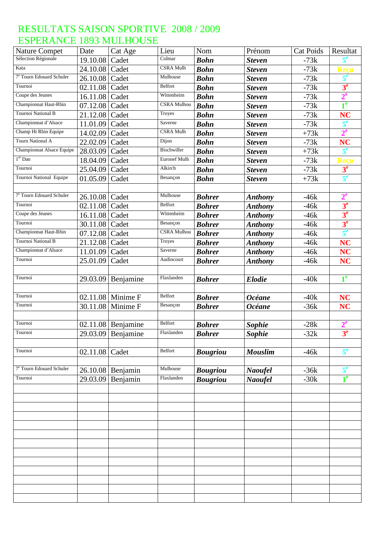| <b>Nature Compet</b>                 | Date     | Cat Age             | Lieu                          | Nom             | Prénom         | <b>Cat Poids</b> | Resultat         |
|--------------------------------------|----------|---------------------|-------------------------------|-----------------|----------------|------------------|------------------|
| Sélection Régionale                  | 19.10.08 | Cadet               | Colmar                        | <b>Bohn</b>     | <b>Steven</b>  | $-73k$           | 5 <sup>e</sup>   |
| Kata                                 | 24.10.08 | Cadet               | CSRA Mulh                     | <b>Bohn</b>     | <b>Steven</b>  | $-73k$           | Reçu             |
| 7 <sup>e</sup> Tourn Edouard Schuler | 26.10.08 | Cadet               | Mulhouse                      | <b>Bohn</b>     | <b>Steven</b>  | $-73k$           | 5 <sup>e</sup>   |
| Tournoi                              | 02.11.08 | Cadet               | <b>Belfort</b>                | <b>Bohn</b>     | <b>Steven</b>  | $-73k$           | 3 <sup>e</sup>   |
| Coupe des Jeunes                     | 16.11.08 | Cadet               | Wittenheim                    | <b>Bohn</b>     | <b>Steven</b>  | $-73k$           | 2 <sup>e</sup>   |
| Championnat Haut-Rhin                | 07.12.08 | Cadet               | <b>CSRA Mulhou</b>            | <b>Bohn</b>     | <b>Steven</b>  | $-73k$           | 1 <sup>e</sup>   |
| <b>Tournoi National B</b>            | 21.12.08 | Cadet               | Troyes                        | <b>Bohn</b>     | <b>Steven</b>  | $-73k$           | NC               |
| Championnat d'Alsace                 | 11.01.09 | Cadet               | Saverne                       | <b>Bohn</b>     | <b>Steven</b>  | $-73k$           | $5^e$            |
| Champ Ht Rhin Equipe                 | 14.02.09 | Cadet               | $\overline{\text{CSRA}}$ Mulh | <b>Bohn</b>     | <b>Steven</b>  | $+73k$           | $2^e$            |
| <b>Tourn National A</b>              | 22.02.09 | Cadet               | Dijon                         | <b>Bohn</b>     | <b>Steven</b>  | $-73k$           | <b>NC</b>        |
| Championnat Alsace Equipe            | 28.03.09 | Cadet               | Bischwiller                   | <b>Bohn</b>     | <b>Steven</b>  | $+73k$           | 5 <sup>e</sup>   |
| $1er$ Dan                            | 18.04.09 | Cadet               | <b>Euronef Mulh</b>           | <b>Bohn</b>     | <b>Steven</b>  | $-73k$           | Recu             |
| Tournoi                              | 25.04.09 | Cadet               | Alkirch                       | <b>Bohn</b>     | <b>Steven</b>  | $-73k$           | 3 <sup>e</sup>   |
| Tournoi National Equipe              | 01.05.09 | Cadet               | Besançon                      | <b>Bohn</b>     | <b>Steven</b>  | $+73k$           | $5^e$            |
|                                      |          |                     |                               |                 |                |                  |                  |
| 7 <sup>e</sup> Tourn Edouard Schuler | 26.10.08 | Cadet               | Mulhouse                      | <b>Bohrer</b>   | <b>Anthony</b> | $-46k$           | $2^e$            |
| Tournoi                              | 02.11.08 | Cadet               | <b>Belfort</b>                | <b>Bohrer</b>   | <b>Anthony</b> | $-46k$           | 3 <sup>e</sup>   |
| Coupe des Jeunes                     | 16.11.08 | Cadet               | Wittenheim                    | <b>Bohrer</b>   | <b>Anthony</b> | $-46k$           | 3 <sup>e</sup>   |
| Tournoi                              | 30.11.08 | Cadet               | Besançon                      | <b>Bohrer</b>   | <b>Anthony</b> | $-46k$           | 3 <sup>e</sup>   |
| Championnat Haut-Rhin                | 07.12.08 | Cadet               | <b>CSRA Mulhou</b>            | <b>Bohrer</b>   | <b>Anthony</b> | $-46k$           | $5^e$            |
| <b>Tournoi National B</b>            | 21.12.08 | Cadet               | Troyes                        | <b>Bohrer</b>   | <b>Anthony</b> | $-46k$           | <b>NC</b>        |
| Championnat d'Alsace                 | 11.01.09 | Cadet               | Saverne                       | <b>Bohrer</b>   | <b>Anthony</b> | $-46k$           | <b>NC</b>        |
| Tournoi                              | 25.01.09 | Cadet               | Audincourt                    | <b>Bohrer</b>   | <b>Anthony</b> | $-46k$           | <b>NC</b>        |
|                                      |          |                     |                               |                 |                |                  |                  |
| Tournoi                              | 29.03.09 | Benjamine           | Flaxlanden                    | <b>Bohrer</b>   | <b>Elodie</b>  | $-40k$           | 1 <sup>e</sup>   |
|                                      |          |                     |                               |                 |                |                  |                  |
| Tournoi                              |          | $02.11.08$ Minime F | <b>Belfort</b>                | <b>Bohrer</b>   | <b>Océane</b>  | $-40k$           | <b>NC</b>        |
| Tournoi                              | 30.11.08 | Minime F            | Besançon                      | <b>Bohrer</b>   | <b>Océane</b>  | $-36k$           | <b>NC</b>        |
|                                      |          |                     |                               |                 |                |                  |                  |
| Tournoi                              |          | 02.11.08 Benjamine  | Belfort                       | <b>Bohrer</b>   | Sophie         | $-28k$           | $2^e$            |
| Tournoi                              |          | 29.03.09 Benjamine  | Flaxlanden                    | <b>Bohrer</b>   | <b>Sophie</b>  | $-32k$           | 3 <sup>e</sup>   |
|                                      |          |                     |                               |                 |                |                  |                  |
| Tournoi                              | 02.11.08 | Cadet               | Belfort                       |                 | <b>Mouslim</b> | $-46k$           | 5 <sup>e</sup>   |
|                                      |          |                     |                               | <b>Bougriou</b> |                |                  |                  |
| 7 <sup>e</sup> Tourn Edouard Schuler | 26.10.08 | Benjamin            | Mulhouse                      | <b>Bougriou</b> | <b>Naoufel</b> | $-36k$           | $5^{\mathrm{e}}$ |
| Tournoi                              | 29.03.09 | Benjamin            | Flaxlanden                    | <b>Bougriou</b> | <b>Naoufel</b> | $-30k$           | 1 <sup>e</sup>   |
|                                      |          |                     |                               |                 |                |                  |                  |
|                                      |          |                     |                               |                 |                |                  |                  |
|                                      |          |                     |                               |                 |                |                  |                  |
|                                      |          |                     |                               |                 |                |                  |                  |
|                                      |          |                     |                               |                 |                |                  |                  |
|                                      |          |                     |                               |                 |                |                  |                  |
|                                      |          |                     |                               |                 |                |                  |                  |
|                                      |          |                     |                               |                 |                |                  |                  |
|                                      |          |                     |                               |                 |                |                  |                  |
|                                      |          |                     |                               |                 |                |                  |                  |
|                                      |          |                     |                               |                 |                |                  |                  |
|                                      |          |                     |                               |                 |                |                  |                  |
|                                      |          |                     |                               |                 |                |                  |                  |
|                                      |          |                     |                               |                 |                |                  |                  |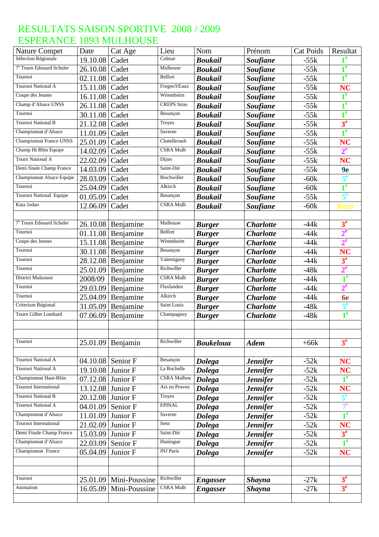| <b>Nature Compet</b>                 | Date                  | Cat Age              | Lieu               | Nom                            | Prénom           | <b>Cat Poids</b> | Resultat       |
|--------------------------------------|-----------------------|----------------------|--------------------|--------------------------------|------------------|------------------|----------------|
| Sélection Régionale                  | 19.10.08              | Cadet                | Colmar             | <b>Boukail</b>                 | <b>Soufiane</b>  | $-55k$           | 1 <sup>e</sup> |
| 7 <sup>e</sup> Tourn Edouard Schuler | 26.10.08              | Cadet                | Mulhouse           | <b>Boukail</b>                 | <b>Soufiane</b>  | $-55k$           | 1 <sup>e</sup> |
| Tournoi                              | 02.11.08              | Cadet                | Belfort            | <b>Boukail</b>                 | <b>Soufiane</b>  | $-55k$           | 1 <sup>e</sup> |
| Tournoi National A                   | 15.11.08              | Cadet                | Forges/l/Eaux      | <b>Boukail</b>                 | <b>Soufiane</b>  | $-55k$           | <b>NC</b>      |
| Coupe des Jeunes                     | 16.11.08              | Cadet                | Wittenheim         | <b>Boukail</b>                 | <b>Soufiane</b>  | $-55k$           | 1 <sup>e</sup> |
| Champ d'Alsace UNSS                  | 26.11.08              | Cadet                | <b>CREPS</b> Stras | <b>Boukail</b>                 | <b>Soufiane</b>  | $-55k$           | $1^e$          |
| Tournoi                              | 30.11.08              | Cadet                | Besançon           | <b>Boukail</b>                 | <b>Soufiane</b>  | $-55k$           | 1 <sup>e</sup> |
| <b>Tournoi National B</b>            | 21.12.08              | Cadet                | Troyes             | <b>Boukail</b>                 | <b>Soufiane</b>  | $-55k$           | 3 <sup>e</sup> |
| Championnat d'Alsace                 | 11.01.09              | Cadet                | Saverne            | <b>Boukail</b>                 | <b>Soufiane</b>  | $-55k$           | $1^e$          |
| <b>Championnat France UNSS</b>       | 25.01.09              | Cadet                | Chatellerault      | <b>Boukail</b>                 | <b>Soufiane</b>  | $-55k$           | <b>NC</b>      |
| Champ Ht Rhin Equipe                 | 14.02.09              | Cadet                | CSRA Mulh          | <b>Boukail</b>                 | <b>Soufiane</b>  | $-55k$           | 2 <sup>e</sup> |
| <b>Tourn National A</b>              | 22.02.09              | Cadet                | Dijon              | <b>Boukail</b>                 | <b>Soufiane</b>  | $-55k$           | <b>NC</b>      |
| Demi finale Champ France             | 14.03.09              | Cadet                | Saint-Dié          | <b>Boukail</b>                 | <b>Soufiane</b>  | $-55k$           | 9e             |
| Championnat Alsace Equipe            | 28.03.09              | Cadet                | Bischwiller        | <b>Boukail</b>                 | <b>Soufiane</b>  | $-60k$           | 5 <sup>e</sup> |
| Tournoi                              | 25.04.09              | Cadet                | Alkirch            | <b>Boukail</b>                 | <b>Soufiane</b>  | $-60k$           | $1^e$          |
| Tournoi National Equipe              | 01.05.09              | Cadet                | Besançon           | <b>Boukail</b>                 | <b>Soufiane</b>  | $-55k$           | 5 <sup>e</sup> |
| Kata 1edan                           | 12.06.09              | Cadet                | <b>CSRA Mulh</b>   | <b>Boukail</b>                 | <b>Soufiane</b>  | $-60k$           | Reçu           |
|                                      |                       |                      |                    |                                |                  |                  |                |
| 7 <sup>e</sup> Tourn Edouard Schuler |                       | $26.10.08$ Benjamine | Mulhouse           | <b>Burger</b>                  | <b>Charlotte</b> | $-44k$           | 3 <sup>e</sup> |
| Tournoi                              | $\overline{0}1.11.08$ | Benjamine            | Belfort            | <b>Burger</b>                  | <b>Charlotte</b> | $-44k$           | 2 <sup>e</sup> |
| Coupe des Jeunes                     | 15.11.08              | Benjamine            | Wittenheim         | <b>Burger</b>                  | <b>Charlotte</b> | $-44k$           | $2^e$          |
| Tournoi                              | 30.11.08              | Benjamine            | Besançon           | <b>Burger</b>                  | <b>Charlotte</b> | $-44k$           | <b>NC</b>      |
| Tournoi                              | 28.12.08              | Benjamine            | Valentigney        | <b>Burger</b>                  | <b>Charlotte</b> | $-44k$           | 3 <sup>e</sup> |
| Tournoi                              | 25.01.09              | Benjamine            | Richwiller         | <b>Burger</b>                  | <b>Charlotte</b> | $-48k$           | $2^e$          |
| <b>District Muluouse</b>             | 2008/09               | Benjamine            | CSRA Mulh          | <b>Burger</b>                  | <b>Charlotte</b> | $-44k$           | 1 <sup>e</sup> |
| Tournoi                              | 29.03.09              | Benjamine            | Flaxlanden         | <b>Burger</b>                  | <b>Charlotte</b> | $-44k$           | $2^e$          |
| Tournoi                              | 25.04.09              | Benjamine            | Alkirch            | <b>Burger</b>                  | <b>Charlotte</b> | $-44k$           | <b>6e</b>      |
| Criterium Régional                   | 31.05.09              | Benjamine            | Saint Louis        | <b>Burger</b>                  | <b>Charlotte</b> | $-48k$           | $5^e$          |
| Tourn Gilbet Lombard                 | 07.06.09              | Benjamine            | Champagney         | <b>Burger</b>                  | <b>Charlotte</b> | $-48k$           | $1^e$          |
|                                      |                       |                      |                    |                                |                  |                  |                |
|                                      |                       |                      |                    |                                |                  |                  |                |
| Tournoi                              | 25.01.09              | Benjamin             | Richwiller         | <b>Boukeloua</b>               | <b>Adem</b>      | $+66k$           | 3 <sup>e</sup> |
|                                      |                       |                      |                    |                                |                  |                  |                |
| Tournoi National A                   |                       | 04.10.08 Senior F    | Besançon           | <b>Dolega</b>                  | <b>Jennifer</b>  | $-52k$           | <b>NC</b>      |
| Tournoi National A                   | 19.10.08              | Junior F             | La Rochelle        | <b>Dolega</b>                  | <b>Jennifer</b>  | $-52k$           | <b>NC</b>      |
| Championnat Haut-Rhin                | 07.12.08 Junior F     |                      | <b>CSRA Mulhou</b> | <b>Dolega</b>                  | <b>Jennifer</b>  | $-52k$           | 1 <sup>e</sup> |
| Tournoi International                | 13.12.08              | Junior F             | Aix en Proven      | <b>Dolega</b>                  | <b>Jennifer</b>  | $-52k$           | <b>NC</b>      |
| Tournoi National B                   | 20.12.08              | Junior F             | Troyes             | <b>Dolega</b>                  | <b>Jennifer</b>  | $-52k$           | 5 <sup>e</sup> |
| Tournoi National A                   | 04.01.09              | Senior F             | <b>EPINAL</b>      | <b>Dolega</b>                  | <b>Jennifer</b>  | $-52k$           | $7^e$          |
| Championnat d'Alsace                 | 11.01.09              | Junior F             | Saverne            | <b>Dolega</b>                  | <b>Jennifer</b>  | $-52k$           | 1 <sup>e</sup> |
| Tournoi International                | 21.02.09              | Junior F             | Sens               | <b>Dolega</b>                  | <b>Jennifer</b>  | $-52k$           | <b>NC</b>      |
| Demi Finale Champ France             | 15.03.09              | Junior F             | Saint-Dié          |                                | <b>Jennifer</b>  | $-52k$           | 3 <sup>e</sup> |
| Championnat d'Alsace                 | 22.03.09              | Senior F             | Huningue           | <b>Dolega</b><br><b>Dolega</b> | <b>Jennifer</b>  | $-52k$           | 1 <sup>e</sup> |
| Championnat France                   |                       |                      | <b>INJ</b> Paris   |                                |                  |                  |                |
|                                      | 05.04.09              | Junior F             |                    | <b>Dolega</b>                  | Jennifer         | $-52k$           | <b>NC</b>      |
|                                      |                       |                      |                    |                                |                  |                  |                |
| Tournoi                              |                       |                      | Richwiller         |                                |                  |                  |                |
| Animation                            | 25.01.09              | Mini-Poussine        | <b>CSRA Mulh</b>   | <b>Engasser</b>                | <b>Shayna</b>    | $-27k$           | 3 <sup>e</sup> |
|                                      | 16.05.09              | Mini-Poussine        |                    | <b>Engasser</b>                | <b>Shayna</b>    | $-27k$           | 3 <sup>e</sup> |
|                                      |                       |                      |                    |                                |                  |                  |                |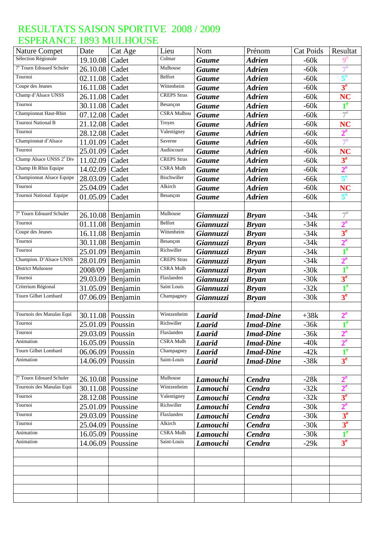| <b>Nature Compet</b>                 | Date               | Cat Age             | Lieu               | Nom           | Prénom           | <b>Cat Poids</b> | Resultat         |
|--------------------------------------|--------------------|---------------------|--------------------|---------------|------------------|------------------|------------------|
| Sélection Régionale                  | 19.10.08           | Cadet               | Colmar             | <b>Gaume</b>  | <b>Adrien</b>    | $-60k$           | $\mathbf{0^e}$   |
| 7 <sup>e</sup> Tourn Edouard Schuler | 26.10.08           | Cadet               | Mulhouse           | <b>Gaume</b>  | <b>Adrien</b>    | $-60k$           | $7^e$            |
| Tournoi                              | 02.11.08           | Cadet               | <b>Belfort</b>     | <b>Gaume</b>  | <b>Adrien</b>    | $-60k$           | 5 <sup>e</sup>   |
| Coupe des Jeunes                     | 16.11.08           | Cadet               | Wittenheim         | <b>Gaume</b>  | <b>Adrien</b>    | $-60k$           | 3 <sup>e</sup>   |
| Champ d'Alsace UNSS                  | 26.11.08           | Cadet               | <b>CREPS</b> Stras | <b>Gaume</b>  | <b>Adrien</b>    | $-60k$           | <b>NC</b>        |
| Tournoi                              | 30.11.08           | Cadet               | Besançon           | <b>Gaume</b>  | <b>Adrien</b>    | $-60k$           | 1 <sup>e</sup>   |
| Championnat Haut-Rhin                | 07.12.08           | Cadet               | <b>CSRA Mulhou</b> | <b>Gaume</b>  | <b>Adrien</b>    | $-60k$           | $7^e$            |
| Tournoi National B                   | 21.12.08           | Cadet               | <b>Troyes</b>      | <b>Gaume</b>  | <b>Adrien</b>    | $-60k$           | <b>NC</b>        |
| Tournoi                              | 28.12.08           | Cadet               | Valentigney        | <b>Gaume</b>  | <b>Adrien</b>    | $-60k$           | $2^e$            |
| Championnat d'Alsace                 | 11.01.09           | Cadet               | Saverne            | <b>Gaume</b>  | <b>Adrien</b>    | $-60k$           | 7 <sup>e</sup>   |
| Tournoi                              | 25.01.09           | Cadet               | Audincourt         | <b>Gaume</b>  | <b>Adrien</b>    | $-60k$           | <b>NC</b>        |
| Champ Alsace UNSS 2 <sup>e</sup> Div | 11.02.09           | Cadet               | <b>CREPS</b> Stras | <b>Gaume</b>  | <b>Adrien</b>    | $-60k$           | 3 <sup>e</sup>   |
| Champ Ht Rhin Equipe                 | 14.02.09           | Cadet               | CSRA Mulh          | <b>Gaume</b>  | <b>Adrien</b>    | $-60k$           | $2^e$            |
| Championnat Alsace Equipe            | 28.03.09           | Cadet               | Bischwiller        | <b>Gaume</b>  | <b>Adrien</b>    | $-66k$           | 5 <sup>e</sup>   |
| Tournoi                              | 25.04.09           | Cadet               | Alkirch            | <b>Gaume</b>  | <b>Adrien</b>    | $-60k$           | <b>NC</b>        |
| Tournoi National Equipe              | 01.05.09           | Cadet               | Besançon           | <b>Gaume</b>  | <b>Adrien</b>    | $-60k$           | $5^e$            |
|                                      |                    |                     |                    |               |                  |                  |                  |
| 7 <sup>e</sup> Tourn Edouard Schuler |                    | 26.10.08 Benjamin   | Mulhouse           | Giannuzzi     | <b>Bryan</b>     | $-34k$           | $7^e$            |
| Tournoi                              |                    | 01.11.08 Benjamin   | Belfort            | Giannuzzi     | <b>Bryan</b>     | $-34k$           | $2^e$            |
| Coupe des Jeunes                     |                    | $16.11.08$ Benjamin | Wittenheim         | Giannuzzi     | <b>Bryan</b>     | $-34k$           | 3 <sup>e</sup>   |
| Tournoi                              | 30.11.08           | Benjamin            | Besançon           | Giannuzzi     | <b>Bryan</b>     | $-34k$           | $2^e$            |
| Tournoi                              | 25.01.09           | Benjamin            | Richwiller         | Giannuzzi     | <b>Bryan</b>     | $-34k$           | $1^e$            |
| Champion. D'Alsace UNSS              | 28.01.09           | Benjamin            | <b>CREPS</b> Stras | Giannuzzi     | <b>Bryan</b>     | $-34k$           | $2^e$            |
| <b>District Muluouse</b>             | 2008/09            | Benjamin            | CSRA Mulh          | Giannuzzi     | <b>Bryan</b>     | $-30k$           | $1^e$            |
| Tournoi                              | 29.03.09           | Benjamin            | Flaxlanden         | Giannuzzi     | <b>Bryan</b>     | $-30k$           | 3 <sup>e</sup>   |
| Criterium Régional                   | 31.05.09           | Benjamin            | Saint Louis        | Giannuzzi     | <b>Bryan</b>     | $-32k$           | $1^e$            |
| Tourn Gilbet Lombard                 | 07.06.09           | Benjamin            | Champagney         | Giannuzzi     | <b>Bryan</b>     | $-30k$           | 3 <sup>e</sup>   |
|                                      |                    |                     |                    |               |                  |                  |                  |
| Tournois des Manalas Equi            | 30.11.08           | Poussin             | Wintzenheim        | <b>Laarid</b> | <b>Imad-Dine</b> | $+38k$           | $2^{\mathrm{e}}$ |
| Tournoi                              | 25.01.09 Poussin   |                     | Richwiller         | Laarid        | <b>Imad-Dine</b> | $-36k$           | 1 <sup>e</sup>   |
| Tournoi                              | 29.03.09 Poussin   |                     | Flaxlanden         | <b>Laarid</b> | <b>Imad-Dine</b> | $-36k$           | $2^e$            |
| Animation                            | 16.05.09 Poussin   |                     | CSRA Mulh          | <b>Laarid</b> | <b>Imad-Dine</b> | $-40k$           | $2^e$            |
| <b>Tourn Gilbet Lombard</b>          | $06.06.09$ Poussin |                     | Champagney         | <b>Laarid</b> | <b>Imad-Dine</b> | $-42k$           | 1 <sup>e</sup>   |
| Animation                            | 14.06.09 Poussin   |                     | Saint-Louis        | <b>Laarid</b> | <b>Imad-Dine</b> | $-38k$           | 3 <sup>e</sup>   |
|                                      |                    |                     |                    |               |                  |                  |                  |
| 7 <sup>e</sup> Tourn Edouard Schuler |                    | 26.10.08 Poussine   | Mulhouse           | Lamouchi      | Cendra           | $-28k$           | $2^e$            |
| Tournois des Manalas Equi            |                    | 30.11.08 Poussine   | Wintzenheim        | Lamouchi      | <b>Cendra</b>    | $-32k$           | $2^e$            |
| Tournoi                              |                    | 28.12.08 Poussine   | Valentigney        | Lamouchi      | <b>Cendra</b>    | $-32k$           | 3 <sup>e</sup>   |
| Tournoi                              |                    | 25.01.09 Poussine   | Richwiller         | Lamouchi      | Cendra           | $-30k$           | 2 <sup>e</sup>   |
| Tournoi                              | 29.03.09           | Poussine            | Flaxlanden         | Lamouchi      | Cendra           | $-30k$           | 3 <sup>e</sup>   |
| Tournoi                              |                    | 25.04.09 Poussine   | Alkirch            |               | Cendra           | $-30k$           | 3 <sup>e</sup>   |
| Animation                            |                    | Poussine            | <b>CSRA Mulh</b>   | Lamouchi      |                  | $-30k$           | $1^e$            |
| Animation                            | 16.05.09           |                     | Saint-Louis        | Lamouchi      | <b>Cendra</b>    |                  | 3 <sup>e</sup>   |
|                                      |                    | 14.06.09 Poussine   |                    | Lamouchi      | Cendra           | $-29k$           |                  |
|                                      |                    |                     |                    |               |                  |                  |                  |
|                                      |                    |                     |                    |               |                  |                  |                  |
|                                      |                    |                     |                    |               |                  |                  |                  |
|                                      |                    |                     |                    |               |                  |                  |                  |
|                                      |                    |                     |                    |               |                  |                  |                  |
|                                      |                    |                     |                    |               |                  |                  |                  |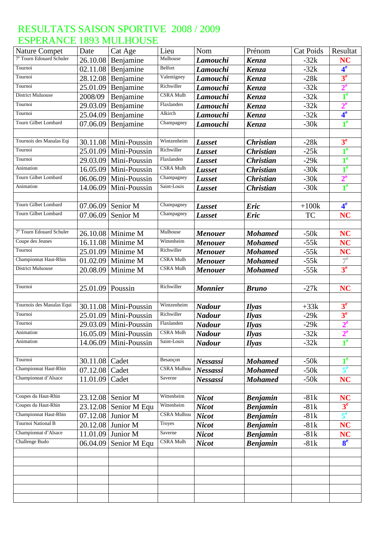| <b>Nature Compet</b>                 | Date               | Cat Age                            | Lieu               | Nom             | Prénom           | <b>Cat Poids</b> | Resultat       |
|--------------------------------------|--------------------|------------------------------------|--------------------|-----------------|------------------|------------------|----------------|
| 7 <sup>e</sup> Tourn Edouard Schuler |                    | 26.10.08 Benjamine                 | Mulhouse           | Lamouchi        | Kenza            | $-32k$           | <b>NC</b>      |
| Tournoi                              |                    | $02.11.08$ Benjamine               | Belfort            | Lamouchi        | Kenza            | $-32k$           | 4 <sup>e</sup> |
| Tournoi                              | 28.12.08           | Benjamine                          | Valentigney        | Lamouchi        | Kenza            | $-28k$           | 3 <sup>e</sup> |
| Tournoi                              | 25.01.09           | Benjamine                          | Richwiller         | Lamouchi        | Kenza            | $-32k$           | 2 <sup>e</sup> |
| <b>District Muluouse</b>             | 2008/09            | Benjamine                          | <b>CSRA Mulh</b>   | Lamouchi        | Kenza            | $-32k$           | 1 <sup>e</sup> |
| Tournoi                              | 29.03.09           | Benjamine                          | Flaxlanden         | Lamouchi        | Kenza            | $-32k$           | $2^e$          |
| Tournoi                              | 25.04.09           | Benjamine                          | Alkirch            | Lamouchi        | Kenza            | $-32k$           | 4 <sup>e</sup> |
| Tourn Gilbet Lombard                 | 07.06.09           | Benjamine                          | Champagney         | Lamouchi        | Kenza            | $-30k$           | 1 <sup>e</sup> |
|                                      |                    |                                    |                    |                 |                  |                  |                |
| Tournois des Manalas Eqi             |                    | 30.11.08 Mini-Poussin              | Wintzenheim        | Lusset          | <b>Christian</b> | $-28k$           | 3 <sup>e</sup> |
| Tournoi                              | 25.01.09           | Mini-Poussin                       | Richwiller         | Lusset          | <b>Christian</b> | $-25k$           | 1 <sup>e</sup> |
| Tournoi                              | 29.03.09           | Mini-Poussin                       | Flaxlanden         | Lusset          | <b>Christian</b> | $-29k$           | $1^e$          |
| Animation                            | 16.05.09           | Mini-Poussin                       | <b>CSRA Mulh</b>   | <b>Lusset</b>   | <b>Christian</b> | $-30k$           | $1^e$          |
| Tourn Gilbet Lombard                 | 06.06.09           | Mini-Poussin                       | Champagney         | Lusset          | <b>Christian</b> | $-30k$           | $2^e$          |
| Animation                            | 14.06.09           | Mini-Poussin                       | Saint-Louis        | Lusset          | <b>Christian</b> | $-30k$           | 1 <sup>e</sup> |
|                                      |                    |                                    |                    |                 |                  |                  |                |
| Tourn Gilbet Lombard                 | 07.06.09           | Senior M                           | Champagney         | Lusset          | <b>Eric</b>      | $+100k$          | 4 <sup>e</sup> |
| Tourn Gilbet Lombard                 | 07.06.09           | Senior M                           | Champagney         | Lusset          | <b>Eric</b>      | TC               | <b>NC</b>      |
|                                      |                    |                                    |                    |                 |                  |                  |                |
| 7 <sup>e</sup> Tourn Edouard Schuler |                    | 26.10.08 Minime M                  | Mulhouse           | <b>Menouer</b>  | <b>Mohamed</b>   | $-50k$           | <b>NC</b>      |
| Coupe des Jeunes                     | 16.11.08           | Minime M                           | Wittenheim         | <b>Menouer</b>  | <b>Mohamed</b>   | $-55k$           | <b>NC</b>      |
| Tournoi                              | 25.01.09           | Minime M                           | Richwiller         | <b>Menouer</b>  | <b>Mohamed</b>   | $-55k$           | <b>NC</b>      |
| Championnat Haut-Rhin                | 01.02.09           | Minime M                           | <b>CSRA Mulh</b>   | <b>Menouer</b>  | <b>Mohamed</b>   | $-55k$           | $7^e$          |
| District Muluouse                    | 20.08.09           | Minime M                           | <b>CSRA Mulh</b>   | <b>Menouer</b>  | <b>Mohamed</b>   | $-55k$           | 3 <sup>e</sup> |
|                                      |                    |                                    |                    |                 |                  |                  |                |
| Tournoi                              | $25.01.09$ Poussin |                                    | Richwiller         | <b>Monnier</b>  | <b>Bruno</b>     | $-27k$           | <b>NC</b>      |
|                                      |                    |                                    |                    |                 |                  |                  |                |
| Tournois des Manalas Equi            |                    | 30.11.08   Mini-Poussin            | Wintzenheim        | <b>Nadour</b>   | <b>Ilyas</b>     | $+33k$           | 3 <sup>e</sup> |
| Tournoi                              |                    | $25.01.09$ Mini-Poussin            | Richwiller         | <b>Nadour</b>   | <b>Ilyas</b>     | $-29k$           | 3 <sup>e</sup> |
| Tournoi                              |                    | 29.03.09 Mini-Poussin              | Flaxlanden         | <b>Nadour</b>   | <b>Ilyas</b>     | $-29k$           | $2^e$          |
| Animation                            |                    | $\overline{16.05.09}$ Mini-Poussin | <b>CSRA</b> Mulh   | <b>Nadour</b>   | <b>Ilyas</b>     | $-32k$           | 2 <sup>e</sup> |
| Animation                            | 14.06.09           | Mini-Poussin                       | Saint-Louis        | <b>Nadour</b>   | <i>Ilyas</i>     | $-32k$           | 1 <sup>e</sup> |
|                                      |                    |                                    |                    |                 |                  |                  |                |
| Tournoi                              | 30.11.08   Cadet   |                                    | Besançon           | Nessassi        | <b>Mohamed</b>   | $-50k$           | $1^e$          |
| Championnat Haut-Rhin                | 07.12.08           | Cadet                              | <b>CSRA Mulhou</b> | Nessassi        | <b>Mohamed</b>   | $-50k$           | $5^e$          |
| Championnat d'Alsace                 | 11.01.09           | Cadet                              | Saverne            | <b>Nessassi</b> | <b>Mohamed</b>   | $-50k$           | <b>NC</b>      |
|                                      |                    |                                    |                    |                 |                  |                  |                |
| Coupes du Haut-Rhin                  |                    | 23.12.08 Senior M                  | Wittenheim         | <b>Nicot</b>    | <b>Benjamin</b>  | $-81k$           | <b>NC</b>      |
| Coupes du Haut-Rhin                  | 23.12.08           | Senior M Equ                       | Wittenheim         | <b>Nicot</b>    | <b>Benjamin</b>  | $-81k$           | 3 <sup>e</sup> |
| Championnat Haut-Rhin                | 07.12.08           | Junior M                           | <b>CSRA</b> Mulhou | <b>Nicot</b>    | <b>Benjamin</b>  | $-81k$           | 5 <sup>e</sup> |
| Tournoi National B                   |                    | 20.12.08 Junior M                  | Troyes             | <b>Nicot</b>    | <b>Benjamin</b>  | $-81k$           | <b>NC</b>      |
| Championnat d'Alsace                 | 11.01.09           | Junior M                           | Saverne            | <b>Nicot</b>    | <b>Benjamin</b>  | $-81k$           | <b>NC</b>      |
| Challenge Budo                       | 06.04.09           | Senior M Equ                       | <b>CSRA Mulh</b>   | <b>Nicot</b>    | <b>Benjamin</b>  | $-81k$           | 8 <sup>e</sup> |
|                                      |                    |                                    |                    |                 |                  |                  |                |
|                                      |                    |                                    |                    |                 |                  |                  |                |
|                                      |                    |                                    |                    |                 |                  |                  |                |
|                                      |                    |                                    |                    |                 |                  |                  |                |
|                                      |                    |                                    |                    |                 |                  |                  |                |
|                                      |                    |                                    |                    |                 |                  |                  |                |
|                                      |                    |                                    |                    |                 |                  |                  |                |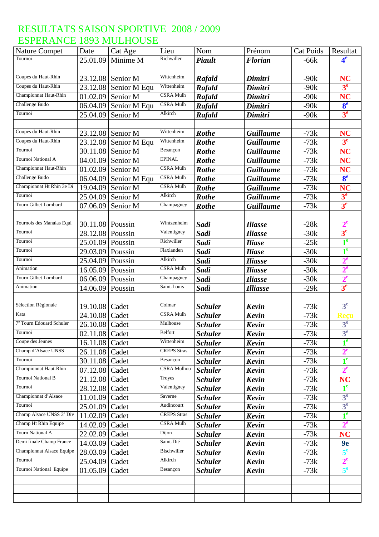| <b>Nature Compet</b>                 | Date             | Cat Age      | Lieu               | Nom            | Prénom           | <b>Cat Poids</b> | Resultat       |
|--------------------------------------|------------------|--------------|--------------------|----------------|------------------|------------------|----------------|
| Tournoi                              | 25.01.09         | Minime M     | Richwiller         | <b>Piault</b>  | <b>Florian</b>   | $-66k$           | 4 <sup>e</sup> |
|                                      |                  |              |                    |                |                  |                  |                |
| Coupes du Haut-Rhin                  | 23.12.08         | Senior M     | Wittenheim         | Rafald         | Dimitri          | $-90k$           | <b>NC</b>      |
| Coupes du Haut-Rhin                  | 23.12.08         | Senior M Equ | Wittenheim         | Rafald         | Dimitri          | $-90k$           | 3 <sup>e</sup> |
| Championnat Haut-Rhin                | 01.02.09         | Senior M     | <b>CSRA Mulh</b>   | Rafald         | Dimitri          | $-90k$           | <b>NC</b>      |
| Challenge Budo                       | 06.04.09         | Senior M Equ | <b>CSRA Mulh</b>   | Rafald         | Dimitri          | $-90k$           | 8 <sup>e</sup> |
| Tournoi                              | 25.04.09         | Senior M     | Alkirch            | Rafald         | Dimitri          | $-90k$           | 3 <sup>e</sup> |
|                                      |                  |              |                    |                |                  |                  |                |
| Coupes du Haut-Rhin                  | 23.12.08         | Senior M     | Wittenheim         | <b>Rothe</b>   | <b>Guillaume</b> | $-73k$           | <b>NC</b>      |
| Coupes du Haut-Rhin                  | 23.12.08         | Senior M Equ | Wittenheim         | <b>Rothe</b>   | <b>Guillaume</b> | $-73k$           | 3 <sup>e</sup> |
| Tournoi                              | 30.11.08         | Senior M     | Besançon           | <b>Rothe</b>   | <b>Guillaume</b> | $-73k$           | <b>NC</b>      |
| Tournoi National A                   | 04.01.09         | Senior M     | <b>EPINAL</b>      | <b>Rothe</b>   | <b>Guillaume</b> | $-73k$           | <b>NC</b>      |
| Championnat Haut-Rhin                | 01.02.09         | Senior M     | <b>CSRA Mulh</b>   | <b>Rothe</b>   | <b>Guillaume</b> | $-73k$           | <b>NC</b>      |
| Challenge Budo                       | 06.04.09         | Senior M Equ | CSRA Mulh          | <b>Rothe</b>   | <b>Guillaume</b> | $-73k$           | 8 <sup>e</sup> |
| Championnat Ht Rhin 3e Di            | 19.04.09         | Senior M     | <b>CSRA Mulh</b>   | <b>Rothe</b>   | <b>Guillaume</b> | $-73k$           | <b>NC</b>      |
| Tournoi                              | 25.04.09         | Senior M     | Alkirch            | <b>Rothe</b>   | <b>Guillaume</b> | $-73k$           | 3 <sup>e</sup> |
| Tourn Gilbet Lombard                 | 07.06.09         | Senior M     | Champagney         | <b>Rothe</b>   | <b>Guillaume</b> | $-73k$           | 3 <sup>e</sup> |
|                                      |                  |              |                    |                |                  |                  |                |
| Tournois des Manalas Equi            | 30.11.08         | Poussin      | Wintzenheim        | Sadi           | <b>Iliasse</b>   | $-28k$           | $2^e$          |
| Tournoi                              | 28.12.08 Poussin |              | Valentigney        | Sadi           | <b>Iliasse</b>   | $-30k$           | 3 <sup>e</sup> |
| Tournoi                              | 25.01.09         | Poussin      | Richwiller         | Sadi           | <b>Iliase</b>    | $-25k$           | $1^e$          |
| Tournoi                              | 29.03.09         | Poussin      | Flaxlanden         | Sadi           | <b>Iliase</b>    | $-30k$           | $1^e$          |
| Tournoi                              | 25.04.09         | Poussin      | Alkirch            | Sadi           | <b>Iliasse</b>   | $-30k$           | $2^e$          |
| Animation                            | 16.05.09         | Poussin      | <b>CSRA Mulh</b>   | Sadi           | <b>Iliasse</b>   | $-30k$           | $2^e$          |
| Tourn Gilbet Lombard                 | 06.06.09         | Poussin      | Champagney         | Sadi           | <b>Iliasse</b>   | $-30k$           | 2 <sup>e</sup> |
| Animation                            | 14.06.09         | Poussin      | Saint-Louis        | Sadi           | <b>Illiasse</b>  | $-29k$           | 3 <sup>e</sup> |
|                                      |                  |              |                    |                |                  |                  |                |
| Sélection Régionale                  | 19.10.08         | Cadet        | Colmar             | <b>Schuler</b> | <b>Kevin</b>     | $-73k$           | 3 <sup>e</sup> |
| Kata                                 | 24.10.08         | Cadet        | <b>CSRA Mulh</b>   | <b>Schuler</b> | Kevin            | $-73k$           | Reçu           |
| 7 <sup>e</sup> Tourn Edouard Schuler | 26.10.08         | Cadet        | Mulhouse           | <b>Schuler</b> | Kevin            | $-73k$           | 3 <sup>e</sup> |
| Tournoi                              | 02.11.08         | Cadet        | Belfort            | <b>Schuler</b> | Kevin            | $-73k$           | 3 <sup>e</sup> |
| Coupe des Jeunes                     | 16.11.08         | Cadet        | Wittenheim         | <b>Schuler</b> | Kevin            | $-73k$           | 1 <sup>e</sup> |
| Champ d'Alsace UNSS                  | 26.11.08         | Cadet        | <b>CREPS</b> Stras | <b>Schuler</b> | Kevin            | $-73k$           | $2^e$          |
| Tournoi                              | 30.11.08         | Cadet        | Besançon           | <b>Schuler</b> | Kevin            | $-73k$           | $1^e$          |
| Championnat Haut-Rhin                | 07.12.08         | Cadet        | <b>CSRA Mulhou</b> | <b>Schuler</b> | Kevin            | $-73k$           | $2^e$          |
| Tournoi National B                   | 21.12.08         | Cadet        | Troyes             | <b>Schuler</b> | Kevin            | $-73k$           | <b>NC</b>      |
| Tournoi                              | 28.12.08         | Cadet        | Valentigney        | <b>Schuler</b> | Kevin            | $-73k$           | $1^e$          |
| Championnat d'Alsace                 | 11.01.09         | Cadet        | Saverne            | <b>Schuler</b> | Kevin            | $-73k$           | 3 <sup>e</sup> |
| Tournoi                              | 25.01.09         | Cadet        | Audincourt         | <b>Schuler</b> | Kevin            | $-73k$           | 3 <sup>e</sup> |
| Champ Alsace UNSS 2 <sup>e</sup> Div | 11.02.09         | Cadet        | <b>CREPS</b> Stras | <b>Schuler</b> | Kevin            | $-73k$           | $1^e$          |
| Champ Ht Rhin Equipe                 | 14.02.09         | Cadet        | <b>CSRA Mulh</b>   | <b>Schuler</b> | <b>Kevin</b>     | $-73k$           | $2^e$          |
| <b>Tourn National A</b>              | 22.02.09         | Cadet        | Dijon              | <b>Schuler</b> | Kevin            | $-73k$           | <b>NC</b>      |
| Demi finale Champ France             | 14.03.09         | Cadet        | Saint-Dié          | <b>Schuler</b> | Kevin            | $-73k$           | 9e             |
| Championnat Alsace Equipe            | 28.03.09         | Cadet        | Bischwiller        | <b>Schuler</b> | Kevin            | $-73k$           | 5 <sup>e</sup> |
| Tournoi                              | 25.04.09         | Cadet        | Alkirch            | <b>Schuler</b> | Kevin            | $-73k$           | $2^e$          |
| Tournoi National Equipe              | 01.05.09         | Cadet        | Besançon           | <b>Schuler</b> | Kevin            | $-73k$           | 5 <sup>e</sup> |
|                                      |                  |              |                    |                |                  |                  |                |
|                                      |                  |              |                    |                |                  |                  |                |
|                                      |                  |              |                    |                |                  |                  |                |
|                                      |                  |              |                    |                |                  |                  |                |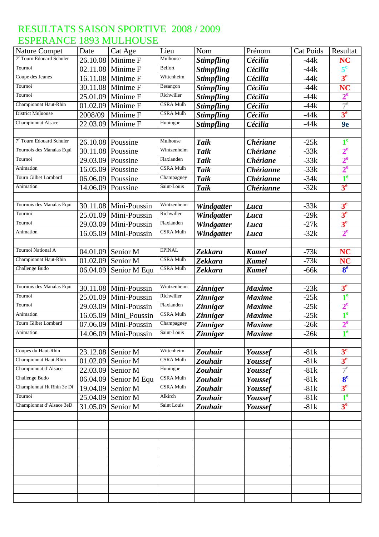| <b>Nature Compet</b>                 | Date     | Cat Age                 | Lieu             | Nom               | Prénom           | <b>Cat Poids</b> | Resultat       |
|--------------------------------------|----------|-------------------------|------------------|-------------------|------------------|------------------|----------------|
| <sup>7e</sup> Tourn Edouard Schuler  | 26.10.08 | Minime F                | Mulhouse         | <b>Stimpfling</b> | Cécilia          | $-44k$           | <b>NC</b>      |
| Tournoi                              | 02.11.08 | Minime F                | <b>Belfort</b>   | <b>Stimpfling</b> | Cécilia          | $-44k$           | $5^e$          |
| Coupe des Jeunes                     | 16.11.08 | Minime F                | Wittenheim       | <b>Stimpfling</b> | Cécilia          | $-44k$           | 3 <sup>e</sup> |
| Tournoi                              |          | 30.11.08 Minime F       | Besançon         | <b>Stimpfling</b> | Cécilia          | $-44k$           | <b>NC</b>      |
| Tournoi                              | 25.01.09 | Minime F                | Richwiller       | <b>Stimpfling</b> | Cécilia          | $-44k$           | $2^e$          |
| Championnat Haut-Rhin                | 01.02.09 | Minime F                | <b>CSRA Mulh</b> | <b>Stimpfling</b> | Cécilia          | $-44k$           | $7^e$          |
| <b>District Muluouse</b>             | 2008/09  | Minime F                | CSRA Mulh        | <b>Stimpfling</b> | Cécilia          | $-44k$           | 3 <sup>e</sup> |
| Championnat Alsace                   | 22.03.09 | Minime F                | Huningue         | <b>Stimpfling</b> | Cécilia          | $-44k$           | 9e             |
|                                      |          |                         |                  |                   |                  |                  |                |
| 7 <sup>e</sup> Tourn Edouard Schuler | 26.10.08 | Poussine                | Mulhouse         | <b>Taik</b>       | <b>Chériane</b>  | $-25k$           | 1 <sup>e</sup> |
| Tournois des Manalas Equi            | 30.11.08 | Poussine                | Wintzenheim      | <b>Taik</b>       | <b>Chériane</b>  | $-33k$           | $2^e$          |
| Tournoi                              | 29.03.09 | Poussine                | Flaxlanden       | <b>Taik</b>       | <b>Chériane</b>  | $-33k$           | $2^e$          |
| Animation                            | 16.05.09 | Poussine                | <b>CSRA Mulh</b> | <b>Taik</b>       | <b>Chérianne</b> | $-33k$           | $2^e$          |
| <b>Tourn Gilbet Lombard</b>          | 06.06.09 | Poussine                | Champagney       | <b>Taik</b>       | <b>Chérianne</b> | $-34k$           | 1 <sup>e</sup> |
| Animation                            | 14.06.09 | Poussine                | Saint-Louis      | <b>Taik</b>       | <b>Chérianne</b> | $-32k$           | 3 <sup>e</sup> |
|                                      |          |                         |                  |                   |                  |                  |                |
| Tournois des Manalas Equi            | 30.11.08 | Mini-Poussin            | Wintzenheim      | Windgatter        | Luca             | $-33k$           | 3 <sup>e</sup> |
| Tournoi                              | 25.01.09 | Mini-Poussin            | Richwiller       | Windgatter        | Luca             | $-29k$           | 3 <sup>e</sup> |
| Tournoi                              | 29.03.09 | Mini-Poussin            | Flaxlanden       | Windgatter        | Luca             | $-27k$           | 3 <sup>e</sup> |
| Animation                            | 16.05.09 | Mini-Poussin            | <b>CSRA Mulh</b> | Windgatter        | Luca             | $-32k$           | $2^e$          |
|                                      |          |                         |                  |                   |                  |                  |                |
| Tournoi National A                   | 04.01.09 | Senior M                | <b>EPINAL</b>    | <b>Zekkara</b>    | <b>Kamel</b>     | $-73k$           | <b>NC</b>      |
| Championnat Haut-Rhin                | 01.02.09 | Senior M                | <b>CSRA Mulh</b> | <b>Zekkara</b>    | <b>Kamel</b>     | $-73k$           | <b>NC</b>      |
| Challenge Budo                       | 06.04.09 | Senior M Equ            | <b>CSRA Mulh</b> | Zekkara           | <b>Kamel</b>     | $-66k$           | 8 <sup>e</sup> |
|                                      |          |                         |                  |                   |                  |                  |                |
| Tournois des Manalas Equi            | 30.11.08 | Mini-Poussin            | Wintzenheim      | <b>Zinniger</b>   | <b>Maxime</b>    | $-23k$           | 3 <sup>e</sup> |
| Tournoi                              | 25.01.09 | Mini-Poussin            | Richwiller       | <b>Zinniger</b>   | <b>Maxime</b>    | $-25k$           | $1^e$          |
| Tournoi                              | 29.03.09 | Mini-Poussin            | Flaxlanden       | <b>Zinniger</b>   | <b>Maxime</b>    | $-25k$           | $2^e$          |
| Animation                            | 16.05.09 | Mini Poussin            | <b>CSRA Mulh</b> | <b>Zinniger</b>   | <b>Maxime</b>    | $-25k$           | $1^e$          |
| Tourn Gilbet Lombard                 |          | $07.06.09$ Mini-Poussin | Champagney       | <b>Zinniger</b>   | <b>Maxime</b>    | $-26k$           | $2^e$          |
| Animation                            |          | $14.06.09$ Mini-Poussin | Saint-Louis      | <b>Zinniger</b>   | <b>Maxime</b>    | $-26k$           | 1 <sup>e</sup> |
|                                      |          |                         |                  |                   |                  |                  |                |
| Coupes du Haut-Rhin                  |          | 23.12.08 Senior M       | Wittenheim       | Zouhair           | Youssef          | $-81k$           | 3 <sup>e</sup> |
| Championnat Haut-Rhin                | 01.02.09 | Senior M                | <b>CSRA Mulh</b> | Zouhair           | Youssef          | $-81k$           | 3 <sup>e</sup> |
| Championnat d'Alsace                 | 22.03.09 | Senior M                | Huningue         | Zouhair           | Youssef          | $-81k$           | $7^e$          |
| Challenge Budo                       | 06.04.09 | Senior M Equ            | <b>CSRA Mulh</b> | Zouhair           | Youssef          | $-81k$           | 8 <sup>e</sup> |
| Championnat Ht Rhin 3e Di            | 19.04.09 | Senior M                | <b>CSRA Mulh</b> | Zouhair           | Youssef          | $-81k$           | 3 <sup>e</sup> |
| Tournoi                              | 25.04.09 | Senior M                | Alkirch          | Zouhair           | Youssef          | $-81k$           | 1 <sup>e</sup> |
| Championnat d'Alsace 3eD             | 31.05.09 | Senior M                | Saint Louis      | Zouhair           | Youssef          | $-81k$           | 3 <sup>e</sup> |
|                                      |          |                         |                  |                   |                  |                  |                |
|                                      |          |                         |                  |                   |                  |                  |                |
|                                      |          |                         |                  |                   |                  |                  |                |
|                                      |          |                         |                  |                   |                  |                  |                |
|                                      |          |                         |                  |                   |                  |                  |                |
|                                      |          |                         |                  |                   |                  |                  |                |
|                                      |          |                         |                  |                   |                  |                  |                |
|                                      |          |                         |                  |                   |                  |                  |                |
|                                      |          |                         |                  |                   |                  |                  |                |
|                                      |          |                         |                  |                   |                  |                  |                |
|                                      |          |                         |                  |                   |                  |                  |                |